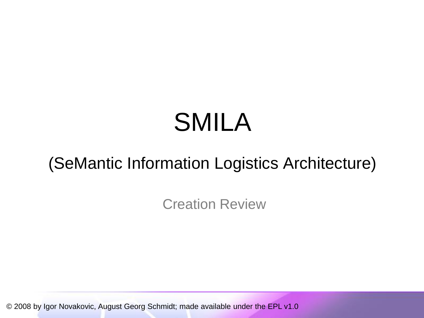# SMILA

# (SeMantic Information Logistics Architecture)

Creation Review

© 2008 by Igor Novakovic, August Georg Schmidt; made available under the EPL v1.0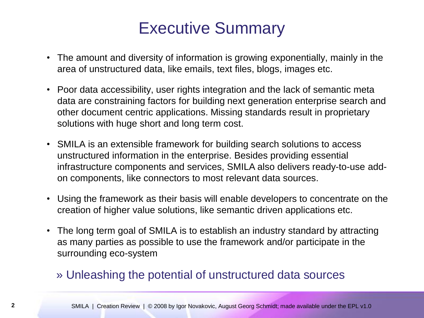### Executive Summary

- The amount and diversity of information is growing exponentially, mainly in the area of unstructured data, like emails, text files, blogs, images etc.
- Poor data accessibility, user rights integration and the lack of semantic meta data are constraining factors for building next generation enterprise search and other document centric applications. Missing standards result in proprietary solutions with huge short and long term cost.
- SMILA is an extensible framework for building search solutions to access unstructured information in the enterprise. Besides providing essential infrastructure components and services, SMILA also delivers ready-to-use addon components, like connectors to most relevant data sources.
- Using the framework as their basis will enable developers to concentrate on the creation of higher value solutions, like semantic driven applications etc.
- The long term goal of SMILA is to establish an industry standard by attracting as many parties as possible to use the framework and/or participate in the surrounding eco-system

#### » Unleashing the potential of unstructured data sources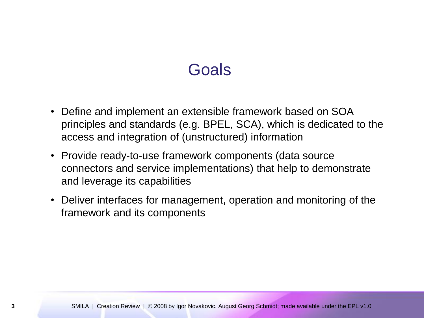#### **Goals**

- Define and implement an extensible framework based on SOA principles and standards (e.g. BPEL, SCA), which is dedicated to the access and integration of (unstructured) information
- Provide ready-to-use framework components (data source connectors and service implementations) that help to demonstrate and leverage its capabilities
- Deliver interfaces for management, operation and monitoring of the framework and its components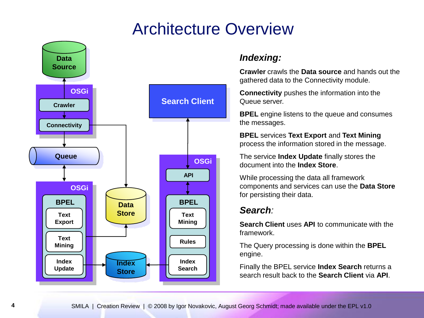#### Architecture Overview



#### *Indexing:*

**Crawler** crawls the **Data source** and hands out the gathered data to the Connectivity module.

**Connectivity** pushes the information into the Queue server.

**BPEL** engine listens to the queue and consumes the messages.

**BPEL** services **Text Export** and **Text Mining** process the information stored in the message.

The service **Index Update** finally stores the document into the **Index Store**.

While processing the data all framework components and services can use the **Data Store** for persisting their data.

#### *Search:*

**Search Client** uses **API** to communicate with the framework.

The Query processing is done within the **BPEL** engine.

Finally the BPEL service **Index Search** returns a search result back to the **Search Client** via **API**.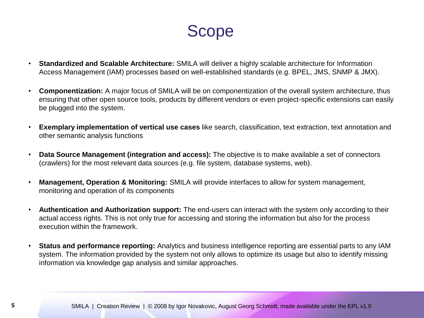Scope

- **Standardized and Scalable Architecture:** SMILA will deliver a highly scalable architecture for Information Access Management (IAM) processes based on well-established standards (e.g. BPEL, JMS, SNMP & JMX).
- **Componentization:** A major focus of SMILA will be on componentization of the overall system architecture, thus ensuring that other open source tools, products by different vendors or even project-specific extensions can easily be plugged into the system.
- **Exemplary implementation of vertical use cases** like search, classification, text extraction, text annotation and other semantic analysis functions
- **Data Source Management (integration and access):** The objective is to make available a set of connectors (crawlers) for the most relevant data sources (e.g. file system, database systems, web).
- **Management, Operation & Monitoring:** SMILA will provide interfaces to allow for system management, monitoring and operation of its components
- **Authentication and Authorization support:** The end-users can interact with the system only according to their actual access rights. This is not only true for accessing and storing the information but also for the process execution within the framework.
- **Status and performance reporting:** Analytics and business intelligence reporting are essential parts to any IAM system. The information provided by the system not only allows to optimize its usage but also to identify missing information via knowledge gap analysis and similar approaches.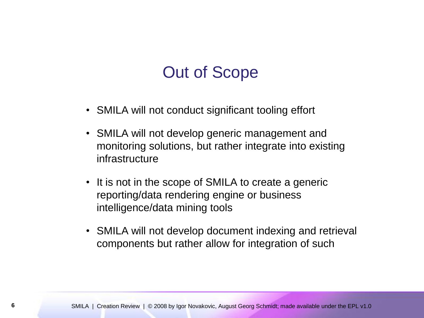#### Out of Scope

- SMILA will not conduct significant tooling effort
- SMILA will not develop generic management and monitoring solutions, but rather integrate into existing infrastructure
- It is not in the scope of SMILA to create a generic reporting/data rendering engine or business intelligence/data mining tools
- SMILA will not develop document indexing and retrieval components but rather allow for integration of such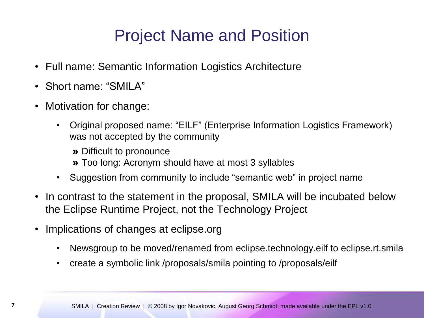## Project Name and Position

- Full name: Semantic Information Logistics Architecture
- Short name: "SMILA"
- Motivation for change:
	- Original proposed name: "EILF" (Enterprise Information Logistics Framework) was not accepted by the community

» Difficult to pronounce » Too long: Acronym should have at most 3 syllables

- Suggestion from community to include "semantic web" in project name
- In contrast to the statement in the proposal, SMILA will be incubated below the Eclipse Runtime Project, not the Technology Project
- Implications of changes at eclipse.org
	- Newsgroup to be moved/renamed from eclipse.technology.eilf to eclipse.rt.smila
	- create a symbolic link /proposals/smila pointing to /proposals/eilf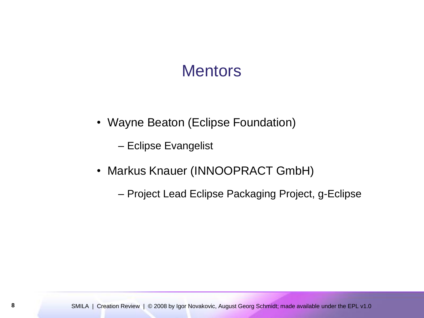#### **Mentors**

• Wayne Beaton (Eclipse Foundation)

– Eclipse Evangelist

- Markus Knauer (INNOOPRACT GmbH)
	- Project Lead Eclipse Packaging Project, g-Eclipse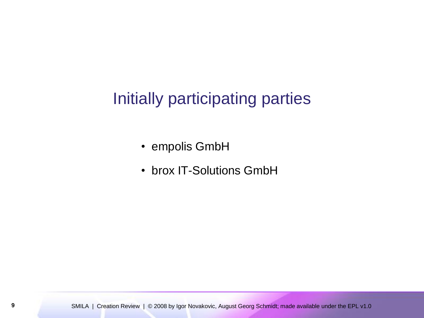### Initially participating parties

- empolis GmbH
- brox IT-Solutions GmbH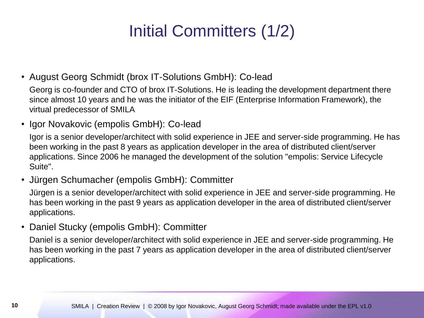# Initial Committers (1/2)

• August Georg Schmidt (brox IT-Solutions GmbH): Co-lead

Georg is co-founder and CTO of brox IT-Solutions. He is leading the development department there since almost 10 years and he was the initiator of the EIF (Enterprise Information Framework), the virtual predecessor of SMILA

• Igor Novakovic (empolis GmbH): Co-lead

Igor is a senior developer/architect with solid experience in JEE and server-side programming. He has been working in the past 8 years as application developer in the area of distributed client/server applications. Since 2006 he managed the development of the solution "empolis: Service Lifecycle Suite".

• Jürgen Schumacher (empolis GmbH): Committer

Jürgen is a senior developer/architect with solid experience in JEE and server-side programming. He has been working in the past 9 years as application developer in the area of distributed client/server applications.

• Daniel Stucky (empolis GmbH): Committer

Daniel is a senior developer/architect with solid experience in JEE and server-side programming. He has been working in the past 7 years as application developer in the area of distributed client/server applications.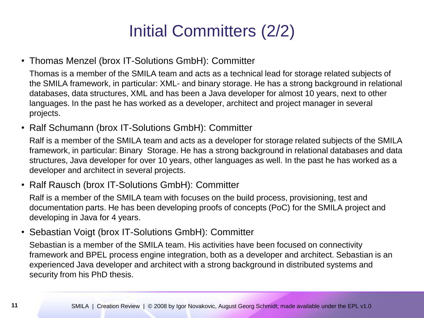# Initial Committers (2/2)

• Thomas Menzel (brox IT-Solutions GmbH): Committer

Thomas is a member of the SMILA team and acts as a technical lead for storage related subjects of the SMILA framework, in particular: XML- and binary storage. He has a strong background in relational databases, data structures, XML and has been a Java developer for almost 10 years, next to other languages. In the past he has worked as a developer, architect and project manager in several projects.

• Ralf Schumann (brox IT-Solutions GmbH): Committer

Ralf is a member of the SMILA team and acts as a developer for storage related subjects of the SMILA framework, in particular: Binary Storage. He has a strong background in relational databases and data structures, Java developer for over 10 years, other languages as well. In the past he has worked as a developer and architect in several projects.

• Ralf Rausch (brox IT-Solutions GmbH): Committer

Ralf is a member of the SMILA team with focuses on the build process, provisioning, test and documentation parts. He has been developing proofs of concepts (PoC) for the SMILA project and developing in Java for 4 years.

• Sebastian Voigt (brox IT-Solutions GmbH): Committer

Sebastian is a member of the SMILA team. His activities have been focused on connectivity framework and BPEL process engine integration, both as a developer and architect. Sebastian is an experienced Java developer and architect with a strong background in distributed systems and security from his PhD thesis.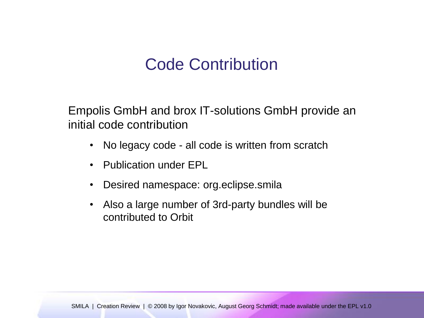#### Code Contribution

Empolis GmbH and brox IT-solutions GmbH provide an initial code contribution

- No legacy code all code is written from scratch
- Publication under EPL
- Desired namespace: org.eclipse.smila
- Also a large number of 3rd-party bundles will be contributed to Orbit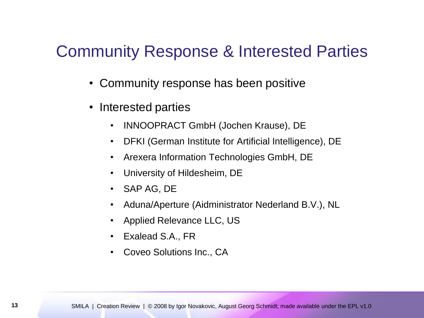#### Community Response & Interested Parties

- Community response has been positive
- Interested parties
	- INNOOPRACT GmbH (Jochen Krause), DE
	- DFKI (German Institute for Artificial Intelligence), DE
	- Arexera Information Technologies GmbH, DE
	- University of Hildesheim, DE
	- SAP AG, DE
	- Aduna/Aperture (Aidministrator Nederland B.V.), NL
	- Applied Relevance LLC, US
	- Exalead S.A., FR
	- Coveo Solutions Inc., CA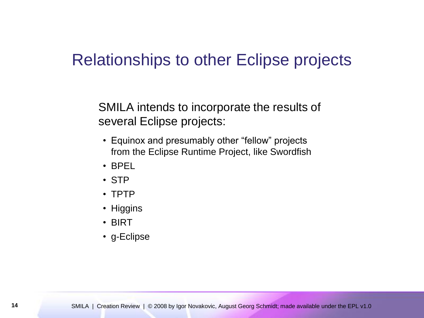#### Relationships to other Eclipse projects

SMILA intends to incorporate the results of several Eclipse projects:

- Equinox and presumably other "fellow" projects from the Eclipse Runtime Project, like Swordfish
- BPEL
- STP
- TPTP
- Higgins
- BIRT
- g-Eclipse